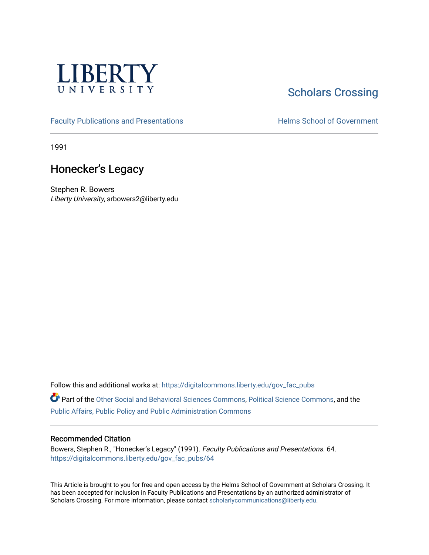

# **Scholars Crossing**

[Faculty Publications and Presentations](https://digitalcommons.liberty.edu/gov_fac_pubs) **Exercise School of Government** 

1991

## Honecker's Legacy

Stephen R. Bowers Liberty University, srbowers2@liberty.edu

Follow this and additional works at: [https://digitalcommons.liberty.edu/gov\\_fac\\_pubs](https://digitalcommons.liberty.edu/gov_fac_pubs?utm_source=digitalcommons.liberty.edu%2Fgov_fac_pubs%2F64&utm_medium=PDF&utm_campaign=PDFCoverPages)

Part of the [Other Social and Behavioral Sciences Commons](http://network.bepress.com/hgg/discipline/437?utm_source=digitalcommons.liberty.edu%2Fgov_fac_pubs%2F64&utm_medium=PDF&utm_campaign=PDFCoverPages), [Political Science Commons](http://network.bepress.com/hgg/discipline/386?utm_source=digitalcommons.liberty.edu%2Fgov_fac_pubs%2F64&utm_medium=PDF&utm_campaign=PDFCoverPages), and the [Public Affairs, Public Policy and Public Administration Commons](http://network.bepress.com/hgg/discipline/393?utm_source=digitalcommons.liberty.edu%2Fgov_fac_pubs%2F64&utm_medium=PDF&utm_campaign=PDFCoverPages)

#### Recommended Citation

Bowers, Stephen R., "Honecker's Legacy" (1991). Faculty Publications and Presentations. 64. [https://digitalcommons.liberty.edu/gov\\_fac\\_pubs/64](https://digitalcommons.liberty.edu/gov_fac_pubs/64?utm_source=digitalcommons.liberty.edu%2Fgov_fac_pubs%2F64&utm_medium=PDF&utm_campaign=PDFCoverPages) 

This Article is brought to you for free and open access by the Helms School of Government at Scholars Crossing. It has been accepted for inclusion in Faculty Publications and Presentations by an authorized administrator of Scholars Crossing. For more information, please contact [scholarlycommunications@liberty.edu.](mailto:scholarlycommunications@liberty.edu)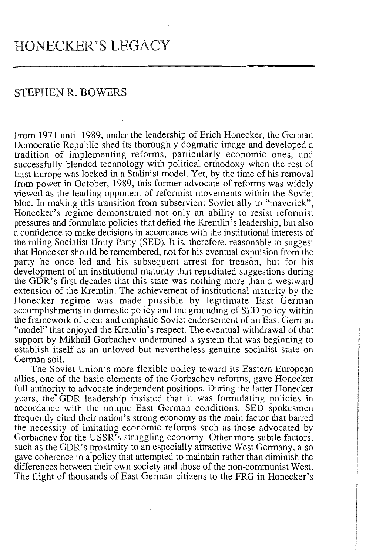### STEPHEN R. BOWERS

From 1971 until 1989, under the leadership of Erich Honecker, the German Democratic Republic shed its thoroughly dogmatic image and developed a tradition of implementing reforms, particularly economic ones, and successfully blended technology with political orthodoxy when the rest of East Europe was locked in a Stalinist model. Yet, by the time of his removal from power in October, 1989, this former advocate of reforms was widely viewed as the leading opponent of reformist movements within the Soviet bloc. In making this transition from subservient Soviet ally to "maverick", Honecker's regime demonstrated not only an ability to resist reformist pressures and formulate policies that defied the Kremlin's leadership, but also a confidence to make decisions in accordance with the institutional interests of the ruling Socialist Unity Party (SED). It is, therefore, reasonable to suggest that Honecker should be remembered, not for his eventual expulsion from the party he once led and his subsequent arrest for treason, but for his development of an institutional maturity that repudiated suggestions during the GDR's first decades that this state was nothing more than a westward extension of the Kremlin. The achievement of institutional maturity by the Honecker regime was made possible by legitimate East German accomplishments in domestic policy and the grounding of SED policy within the framework of clear and emphatic Soviet endorsement of an East German "model" that enjoyed the Kremlin's respect. The eventual withdrawal of that support by Mikhail Gorbachev undermined a system that was beginning to establish itself as an unloved but nevertheless genuine socialist state on German soiL

The Soviet Union's more flexible policy toward its Eastern European allies, one of the basic elements of the Gorbachev reforms, gave Honecker full authority to advocate independent positions. During the latter Honecker years, the" GDR leadership insisted that it was formulating policies in accordance with the unique East German conditions. SED spokesmen frequently cited their nation's strong economy as the main factor that barred the necessity of imitating economic reforms such as those advocated by Gorbachev for the USSR's struggling economy. Other more subtle factors, such as the GDR's proximity to an especially attractive West Germany, also gave coherence to a policy that attempted to maintain rather than diminish the differences between their own society and those of the non-communist West. The flight of thousands of East German citizens to the FRG in Honecker's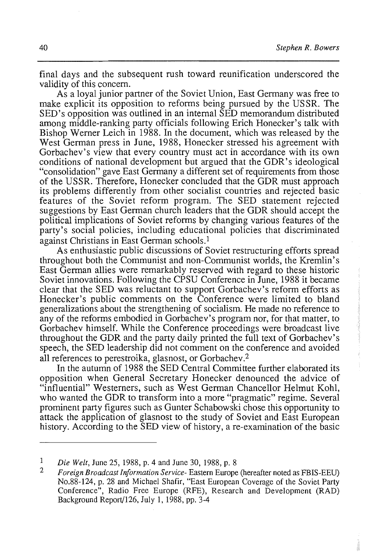final days and the subsequent rush toward reunification underscored the validity of this concern.

As a loyal junior partner of the Soviet Union, East Germany was free to make explicit its opposition to reforms being pursued by the USSR. The SED's opposition was outlined in an internal SED memorandum distributed among middle-ranking party officials following Erich Honecker's talk with Bishop Werner Leich in 1988. In the document, which was released by the West German press in June, 1988, Honecker stressed his agreement with Gorbachev's view that every country must act in accordance with its own conditions of national development but argued that the GDR's ideological "consolidation" gave East Germany a different set of requirements from those of the USSR. Therefore, Honecker concluded that the GDR must approach its problems differently from other socialist countries and rejected basic features of the Soviet reform program. The SED statement rejected suggestions by East German church leaders that the GDR should accept the political implications of Soviet reforms by changing various features of the party's social policies, including educational policies that discriminated against Christians in East German schools.<sup>1</sup>

As enthusiastic public discussions of Soviet restructuring efforts spread throughout both the Communist and non-Communist worlds, the Kremlin's East German allies were remarkably reserved with regard to these historic Soviet innovations. Following the CPSU Conference in June, 1988 it became clear that the SED was reluctant to support Gorbachev's reform efforts as Honecker's public comments on the Conference were limited to bland generalizations about the strengthening of socialism. He made no reference to any of the reforms embodied in Gorbachev's program nor, for that matter, to Gorbachev himself. While the Conference proceedings were broadcast live throughout the GDR and the party daily printed the full text of Gorbachev's speech, the SED leadership did not comment on the conference and avoided all references to perestroika, glasnost, or Gorbachev.2

In the autumn of 1988 the SED Central Committee further elaborated its opposition when General Secretary Honecker denounced the advice of "influential" Westerners, such as West German Chancellor Helmut Kohl, who wanted the GDR to transform into a more "pragmatic" regime. Several prominent party figures such as Gunter Schabowski chose this opportunity to attack the application of glasnost to the study of Soviet and East European history. According to the SED view of history, a re-examination of the basic

<sup>1</sup>  *Die Welt,* June 25, 1988, p. 4 and June 30, 1988, p. 8

 $\overline{2}$ *Foreign Broadcast Information Service-* Eastern Europe (hereafter noted as FBIS-EEU) No.88-124, p. 28 and Michael Shafir, "East European Coverage of the Soviet Party Conference", Radio Free Europe (RFE), Research and Development (RAD) Background Report/126, July 1, 1988, pp. 3-4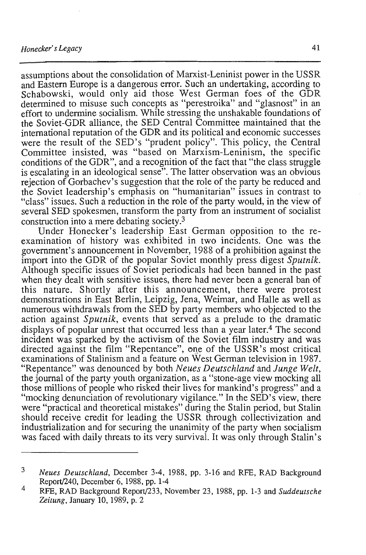assumptions about the consolidation of Marxist-Leninist power in the USSR and Eastern Europe is a dangerous error. Such an undertaking, according to Schabowski, would only aid those West German foes of the GDR determined to misuse such concepts as "perestroika" and "glasnost" in an effort to undermine socialism. While stressing the unshakable foundations of the Soviet-GDR alliance, the SED Central Committee maintained that the international reputation of the GDR and its political and economic successes were the result of the SED's "prudent policy". This policy, the Central Committee insisted, was "based on Marxism-Leninism, the specific conditions of the GDR", and a recognition of the fact that "the class struggle is escalating in an ideological sense". The latter observation was an obvious rejection of Gorbachev's suggestion that the role of the party be reduced and the Soviet leadership's emphasis on "humanitarian" issues in contrast to "class" issues. Such a reduction in the role of the party would, in the view of several SED spokesmen, transform the party from an instrument of socialist construction into a mere debating society.3

Under Honecker's leadership East German opposition to the reexamination of history was exhibited in two incidents. One was the government's announcement in November, 1988 of a prohibition against the import into the GDR of the popular Soviet monthly press digest *Sputnik.*  Although specific issues of Soviet periodicals had been banned in the past when they dealt with sensitive issues, there had never been a general ban of this nature. Shortly after this announcement, there were protest demonstrations in East Berlin, Leipzig, Jena, Weimar, and Halle as well as numerous withdrawals from the SED by party members who objected to the action against *Sputnik,* events that served as a prelude to the dramatic displays of popular unrest that occurred less than a year later.4 The second incident was sparked by the activism of the Soviet film industry and was directed against the film "Repentance", one of the USSR's most critical examinations of Stalinism and a feature on West German television in 1987. "Repentance" was denounced by both *Neues Deutschland* and *Junge Welt,*  the journal of the party youth organization, as a "stone-age view mocking all those millions of people who risked their lives for mankind's progress" and a "mocking denunciation of revolutionary vigilance." In the SED's view, there were "practical and theoretical mistakes" during the Stalin period, but Stalin should receive credit for leading the USSR through collectivization and industrialization and for securing the unanimity of the party when socialism was faced with daily threats to its very survival. It was only through Stalin's

<sup>3</sup>  *Neues Deutschland,* December 3-4, 1988, pp. 3-16 and RFE, RAD Background Report/240, December 6, 1988, pp. 1-4

<sup>4</sup>  RFE, RAD Background Report/233, November 23, 1988, pp. 1-3 and *Suddeutsche Zeitung,* January 10, 1989, p. 2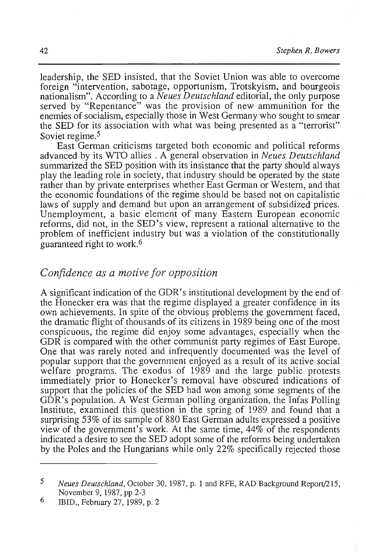leadership, the SED insisted, that the Soviet Union was able to overcome foreign "intervention, sabotage, opportunism, Trotskyism, and bourgeois nationalism". According to a *Neues Deutschland* editorial, the only purpose served by "Repentance" was the provision of new ammunition for the enemies of socialism, especially those in West Germany who sought to smear the SED for its association with what was being presented as a "terrorist" Soviet regime.<sup>5</sup>

East German criticisms targeted both economic and political reforms advanced by its WTO allies. A general observation in *Neues Deutschland*  summarized the SED position with its insistance that the party should always play the leading role in society, that industry should be operated by the state rather than by private enterprises whether East German or Western, and that the economic foundations of the regime should be based not on capitalistic laws of supply and demand but upon an arrangement of subsidized prices. Unemployment, a basic element of many Eastern European economic reforms, did not, in the SED's view, represent a rational alternative to the problem of inefficient industry but was a violation of the constitutionally guaranteed right to work.<sup>6</sup>

#### *Confidence as a motive for opposition*

A significant indication of the GDR's institutional development by the end of the Honecker era was that the regime displayed a greater confidence in its own achievements. In spite of the obvious problems the government faced, the dramatic flight of thousands of its citizens in 1989 being one of the most conspicuous, the regime did enjoy some advantages, especially when the GDR is compared with the other communist party regimes of East Europe. One that was rarely noted and infrequently documented was the level of popular support that the government enjoyed as a result of its active social welfare programs. The exodus of 1989 and the large public protests immediately prior to Honecker's removal have obscured indications of support that the policies of the SED had won among some segments of the GDR's population. A West German polling organization, the Infas Polling Institute, examined this question in the spring of 1989 and found that a surprising 53% of its sample of 880 East German adults expressed a positive view of the government's work. At the same time, 44% of the respondents indicated a desire to see the SED adopt some of the reforms being undertaken by the Poles and the Hungarians while only 22% specifically rejected those

<sup>5</sup>  *Neues Deutschland,* October 30, 1987, p. 1 and RFE, RAD Background Report/2IS, November 9, 1987, pp 2-3

<sup>6</sup>  IBID., February 27, 1989, p. 2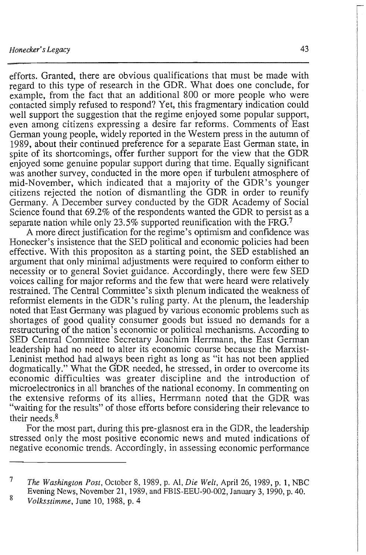efforts. Granted, there are obvious qualifications that must be made with regard to this type of research in the GDR. What does one conclude, for example, from the fact that an additional 800 or more people who were contacted simply refused to respond? Yet, this fragmentary indication could well support the suggestion that the regime enjoyed some popular support, even among citizens expressing a desire far reforms. Comments of East German young people, widely reported in the Western press in the autumn of 1989, about their continued preference for a separate East German state, in spite of its shortcomings, offer further support for the view that the GDR enjoyed some genuine popular support during that time. Equally significant was another survey, conducted in the more open if turbulent atmosphere of mid-November, which indicated that a majority of the GDR's younger citizens rejected the notion of dismantling the GDR in order to reunify Germany. A December survey conducted by the GDR Academy of Social Science found that 69.2% of the respondents wanted the GDR to persist as a separate nation while only 23.5% supported reunification with the FRG.<sup>7</sup>

A more direct justification for the regime's optimism and confidence was Honecker's insistence that the SED political and economic policies had been effective. With this propositon as a starting point, the SED established an argument that only minimal adjustments were required to conform either to necessity or to general Soviet guidance. Accordingly, there were few SED voices calling for major reforms and the few that were heard were relatively restrained. The Central Committee's sixth plenum indicated the weakness of reformist elements in the GDR's ruling party. At the plenum, the leadership noted that East Germany was plagued by various economic problems such as shortages of good quality consumer goods but issued no demands for a restructuring of the nation's economic or political mechanisms. According to SED Central Committee Secretary Joachim Herrmann, the East German leadership had no need to alter its economic course because the Marxist-Leninist method had always been right as long as "it has not been applied dogmatically." What the GDR needed, he stressed, in order to overcome its economic difficulties was greater discipline and the introduction of microelectronics in all branches of the national economy. In commenting on the extensive reforms of its allies, Herrmann noted that the GDR was "waiting for the results" of those efforts before considering their relevance to their needs.8

For the most part, during this pre-glasnost era in the GDR, the leadership stressed only the most positive economic news and muted indications of negative economic trends. Accordingly, in assessing economic performance

<sup>7</sup>  *The Washington Post,* October 8, 1989, p. Al, *Die Welt,* April 26, 1989, p. 1, NBC Evening News, November 21, 1989, and FBIS-EEU-90-002, January 3, 1990, p. 40.

<sup>8</sup>  *Volksstimme,* June 10, 1988, p. 4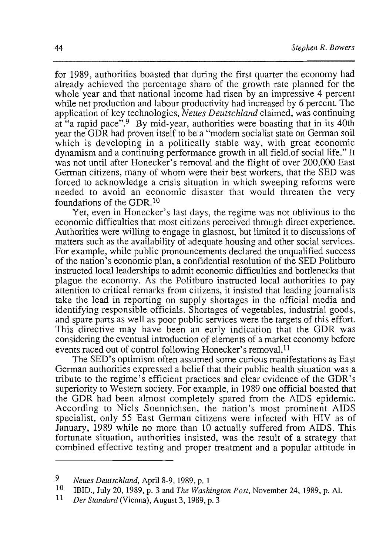for 1989, authorities boasted that during the first quarter the economy had already achieved the percentage share of the growth rate planned for the whole year and that national income had risen by an impressive 4 percent while net production and labour productivity had increased by 6 percent. The application of key technologies, *Neues Deutschland* claimed, was continuing at "a rapid pace".<sup>9</sup> By mid-year, authorities were boasting that in its 40th year the GDR had proven itself to be a "modem socialist state on German soil which is developing in a politically stable way, with great economic dynamism and a continuing performance growth in all field.of social life." It was not until after Honecker's removal and the flight of over 200,000 East German citizens, many of whom were their best workers, that the SED was forced to acknowledge a crisis situation in which sweeping reforms were needed to avoid an economic disaster that would threaten the very foundations of the GDR.10

Yet, even in Honecker's last days, the regime was not oblivious to the economic difficulties that most citizens perceived through direct experience. Authorities were willing to engage in glasnost, but limited it to discussions of matters such as the availability of adequate housing and other social services. For example, while public pronouncements declared the unqualified success of the nation's economic plan, a confidential resolution of the SED Politburo instructed localleaderships to admit economic difficulties and bottlenecks that plague the economy. As the Politburo instructed local authorities to pay attention to critical remarks from citizens, it insisted that leading journalists take the lead in reporting on supply shortages in the official media and identifying responsible officials. Shortages of vegetables, industrial goods, and spare parts as well as poor public services were the targets of this effort. This directive may have been an early indication that the GDR was considering the eventual introduction of elements of a market economy before events raced out of control following Honecker's removal.<sup>11</sup>

The SED's optimism often assumed some curious manifestations as East German authorities expressed a belief that their public health situation was a tribute to the regime's efficient practices and clear evidence of the GDR's superiority to Western society. For example, in 1989 one official boasted that the GDR had been almost completely spared from the AIDS epidemic. According to Niels Soennichsen, the nation's most prominent AIDS specialist, only 55 East German citizens were infected with HIV as of January, 1989 while no more than 10 actually suffered from AIDS. This fortunate situation, authorities insisted, was the result of a strategy that combined effective testing and proper treatment and a popular attitude in

*<sup>9</sup> Neues Deutschland,* April 8-9, 1989, p. 1

<sup>10</sup> IBID., July 20, 1989, p. 3 and *The Washington Post,* November 24, 1989, p. AI.

<sup>11</sup> *Der Standard* (Vienna), August 3, 1989, p. 3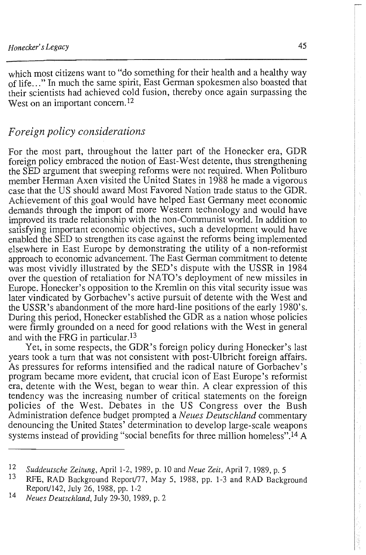which most citizens want to "do something for their health and a healthy way of life ... " In much the same spirit, East German spokesmen also boasted that their scientists had achieved cold fusion, thereby once again surpassing the West on an important concern.<sup>12</sup>

## *Foreign policy considerations*

For the most part, throughout the latter part of the Honecker era, GDR foreign policy embraced the notion of East-West detente, thus strengthening the SED argument that sweeping reforms were not required. When Politburo member Herman Axen visited the United States in 1988 he made a vigorous case that the US should award Most Favored Nation trade status to the GDR. Achievement of this goal would have helped East Germany meet economic demands through the import of more Western technology and would have improved its trade relationship with the non-Communist world. In addition to satisfying important economic objectives, such a development would have enabled the SED to strengthen its case against the reforms being implemented elsewhere in East Europe by demonstrating the utility of a non-reformist approach to economic advancement. The East German commitment to detente was most vividly illustrated by the SED's dispute with the USSR in 1984 over the question of retaliation for NATO's deployment of new missiles in Europe. Honecker's opposition to the Kremlin on this vital security issue was later vindicated by Gorbachev's active pursuit of detente with the West and the USSR's abandonment of the more hard-line positions of the early 1980's. During this period, Honecker established the GDR as a nation whose policies were firmly grounded on a need for good relations with the West in general and with the FRG in particular. <sup>13</sup>

Yet, in some respects, the GDR's foreign policy during Honecker's last years took a turn that was not consistent with post-Ulbricht foreign affairs. As pressures for reforms intensified and the radical nature of Gorbachev's program became more evident, that crucial icon of East Europe's reformist era, detente with the West, began to wear thin. A clear expression of this tendency was the increasing number of critical statements on the foreign policies of the West. Debates in the US Congress over the Bush Administration defence budget prompted a *Neues Deutschland* commentary denouncing the United States' determination to develop large-scale weapons systems instead of providing "social benefits for three million homeless".<sup>14</sup> A  $\overline{\mathbb{R}}$ 

 $\sim 4\,\mathrm{day}^{-1}$ 

*<sup>12</sup> Suddeutsche Zeitung,* April 1-2, 1989, p. 10 and *Neue Zeit,* April 7,1989, p. 5

RFE, RAD Background Report/77, May 5, 1988, pp. 1-3 and RAD Background Report/142, July 26, 1988, pp. 1-2

<sup>14</sup> *Neues Deutschland,* July 29-30, 1989, p. 2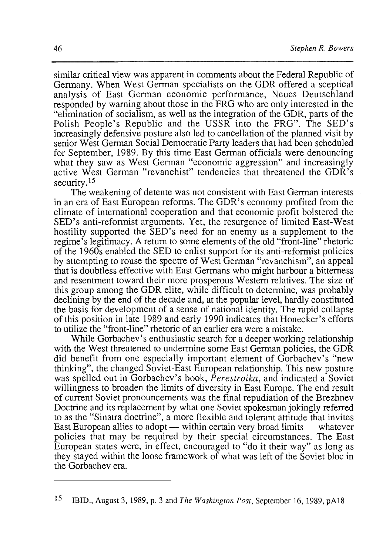similar critical view was apparent in comments about the Federal Republic of Germany. When West German specialists on the GDR offered a sceptical analysis of East German economic performance, Neues Deutschland responded by warning about those in the FRG who are only interested in the "elimination of socialism, as well as the integration of the GDR, parts of the Polish People's Republic and the USSR into the FRG". The SED's increasingly defensive posture also led to cancellation of the planned visit by senior West German Social Democratic Party leaders that had been scheduled for September, 1989. By this time East German officials were denouncing what they saw as West German "economic aggression" and increasingly active West German "revanchist" tendencies that threatened the GDR's security,  $15$ 

The weakening of detente was not consistent with East German interests in an era of East European reforms. The GDR's economy profited from the climate of international cooperation and that economic profit bolstered the SED's anti-reformist arguments. Yet, the resurgence of limited East-West hostility supported the SED's need for an enemy as a supplement to the regime's legitimacy. A return to some elements of the old "front-line" rhetoric of the 1960s enabled the SED to enlist support for its anti-reformist policies by attempting to rouse the spectre of West German "revanchism", an appeal that is doubtless effective with East Germans who might harbour a bitterness and resentment toward their more prosperous Western relatives. The size of this group among the GDR elite, while difficult to determine, was probably declining by the end of the decade and, at the popular level, hardly constituted the basis for development of a sense of national identity. The rapid collapse of this position in late 1989 and early 1990 indicates that Honecker's efforts to utilize the "front-line" rhetoric of an earlier era were a mistake.

While Gorbachev's enthusiastic search for a deeper working relationship with the West threatened to undermine some East German policies, the GDR did benefit from one especially important element of Gorbachev's "new thinking", the changed Soviet-East European relationship. This new posture was spelled out in Gorbachev's book, *Perestroika,* and indicated a Soviet willingness to broaden the limits of diversity in East Europe. The end result of current Soviet pronouncements was the final repudiation of the Brezhnev Doctrine and its replacement by what one Soviet spokesman jokingly referred to as the "Sinatra doctrine", a more flexible and tolerant attitude that invites East European allies to adopt — within certain very broad limits — whatever policies that may be required by their special circumstances. The East European states were, in effect, encouraged to "do it their way" as long as they stayed within the loose framework of what was left of the Soviet bloc in the Gorbachev era.

<sup>15</sup> IBID., August 3, 1989, p. 3 and *The Washington Post,* September 16, 1989, pAl8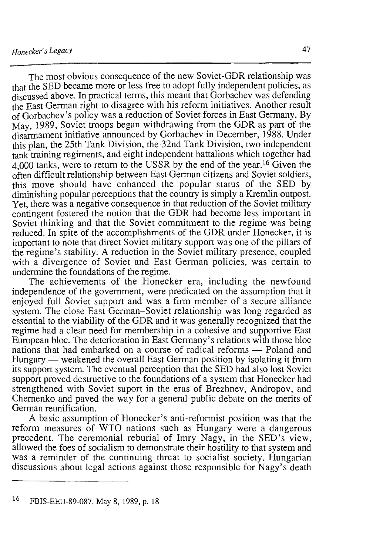The most obvious consequence of the new Soviet-GDR relationship was that the SED became more or less free to adopt fully independent policies, as discussed above. In practical terms, this meant that Gorbachev was defending the East German right to disagree with his reform initiatives. Another result of Gorbachev's policy was a reduction of Soviet forces in East Germany. By May, 1989, Soviet troops began withdrawing from the GDR as part of the disarmament initiative announced by Gorbachev in December, 1988. Under this plan, the 25th Tank Division, the 32nd Tank Division, two independent tank training regiments, and eight independent battalions which together had 4,000 tanks, were to return to the USSR by the end of the year.<sup>16</sup> Given the often difficult relationship between East German citizens and Soviet soldiers, this move should have enhanced the popular status of the SED by diminishing popular perceptions that the country is simply a Kremlin outpost. Yet, there was a negative consequence in that reduction of the Soviet military contingent fostered the notion that the GDR had become less important in Soviet thinking and that the Soviet commitment to the regime was being reduced. In spite of the accomplishments of the GDR under Honecker, it is important to note that direct Soviet military support was one of the pillars of the regime's stability. A reduction in the Soviet military presence, coupled with a divergence of Soviet and East German policies, was certain to undermine the foundations of the regime.

The achievements of the Honecker era, including the newfound independence of the government, were predicated on the assumption that it enjoyed full Soviet support and was a firm member of a secure alliance system. The close East German-Soviet relationship was long regarded as essential to the viability of the GDR and it was generally recognized that the regime had a clear need for membership in a cohesive and supportive East European bloc. The deterioration in East Germany's relations with those bloc nations that had embarked on a course of radical reforms - Poland and Hungary — weakened the overall East German position by isolating it from its support system. The eventual perception that the SED had also lost Soviet support proved destructive to the foundations of a system that Honecker had strengthened with Soviet suport in the eras of Brezhnev, Andropov, and Chernenko and paved the way for a general public debate on the merits of German reunification.

A basic assumption of Honecker's anti-reformist position was that the reform measures of WTO nations such as Hungary were a dangerous precedent. The ceremonial reburial of Imry Nagy, in the SED's view, allowed the foes of socialism to demonstrate their hostility to that system and was a reminder of the continuing threat to socialist society. Hungarian discussions about legal actions against those responsible for Nagy's death

<sup>16</sup> FBIS-EEU-89-087, May 8, 1989, p. 18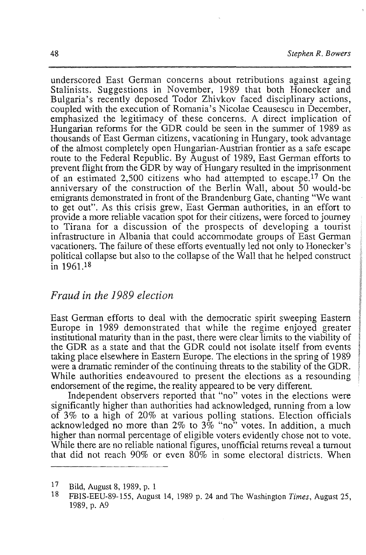48 *Stephen R. Bowers* 

underscored East German concerns about retributions against ageing Stalinists. Suggestions in November, 1989 that both Honecker and Bulgaria's recently deposed Todor Zhivkov faced disciplinary actions, coupled with the execution of Romania's Nicolae Ceausescu in December, emphasized the legitimacy of these concerns. A direct implication of Hungarian reforms for the GDR could be seen in the summer of 1989 as thousands of East German citizens, vacationing in Hungary, took advantage of the almost completely open Hungarian-Austrian frontier as a safe escape route to the Federal Republic. By August of 1989, East German efforts to prevent flight from the GDR by way of Hungary resulted in the imprisonment of an estimated 2,500 citizens who had attempted to escape.<sup>17</sup> On the anniversary of the construction of the Berlin Wall, about 50 would-be emigrants demonstrated in front of the Brandenburg Gate, chanting "We want to get out". As this crisis grew, East German authorities, in an effort to provide a more reliable vacation spot for their citizens, were forced to journey to Tirana for a discussion of the prospects of developing a tourist infrastructure in Albania that could accommodate groups of East German vacationers. The failure of these efforts eventually led not only to Honecker's political collapse but also to the collapse of the Wall that he helped construct  $\frac{1}{1}$ n 1961.<sup>18</sup>

### *Fraud in the* 1989 *election*

East German efforts to deal with the democratic spirit sweeping Eastern Europe in 1989 demonstrated that while the regime enjoyed greater institutional maturity than in the past, there were clear limits to the viability of the GDR as a state and that the GDR could not isolate itself from events taking place elsewhere in Eastern Europe. The elections in the spring of 1989 king place eisewhere in Eastern Europe. The electrons in the spring of 1969  $\sigma$  a mainanc reminder or the community unears to the stability or the ODK. While authorities endeavoured to present the elections as a resounding endorsement of the regime, the reality appeared to be very different.

Independent observers reported that "no" votes in the elections were significantly higher than authorities had acknowledged, running from a low of 3% to a high of 20% at various polling stations. Election officials acknowledged no more than  $2\%$  to  $3\%$  "no" votes. In addition, a much higher than normal percentage of eligible voters evidently chose not to vote. While there are no reliable national figures, unofficial returns reveal a turnout that did not reach 90% or even  $80\%$  in some electoral districts. When

Bild, August 8, 1989, p. 1

FBIS-EEU-89-155, August 14, 1989 p. 24 and The Washington *Times,* August 25, 13-EEU-09<br>90 - A9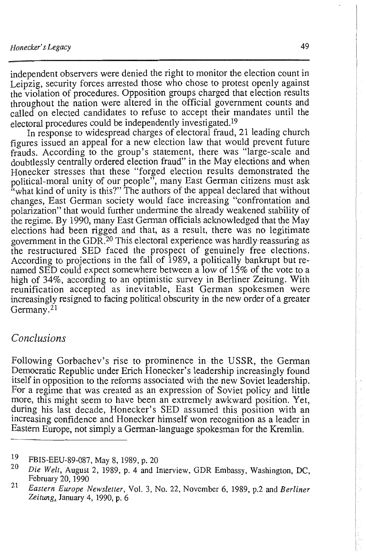independent observers were denied the right to monitor the election count in Leipzig, security forces arrested those who chose to protest openly against the violation of procedures. Opposition groups charged that election results throughout the nation were altered in the official government counts and called on elected candidates to refuse to accept their mandates until the electoral procedures could be independently investigated.19

In response to widespread charges of electoral fraud, 21 leading church figures issued an appeal for a new election law that would prevent future frauds. According to the group's statement, there was "large-scale and doubtlessly centrally ordered election fraud" in the May elections and when Honecker stresses that these "forged election results demonstrated the political-moral unity of our people", many East German citizens must ask "what kind of unity is this?" The authors of the appeal declared that without changes, East German society would face increasing "confrontation and polarization" that would further undermine the already weakened stability of the regime. By 1990, many East German officials acknowledged that the May elections had been rigged and that, as a result, there was no legitimate government in the GDR.20 This electoral experience was hardly'reassuring as the restructured SED faced the prospect of genuinely free elections. According to projections in the fall of 1989, a politically bankrupt but renamed SED could expect somewhere between a low of 15% of the vote to a high of 34%, according to an optimistic survey in Berliner Zeitung. With reunification accepted as inevitable, East German spokesmen were increasingly resigned to facing political obscurity in the new order of a greater Germany.21

### *Conclusions*

Following Gorbachev's rise to prominence in the USSR, the German Democratic Republic under Erich Honecker's leadership increasingly found itself in opposition to the reforms associated with the new Soviet leadership. For a regime that was created as an expression of Soviet policy and little more, this might seem to have been an extremely awkward position. Yet, during his last decade, Honecker's SED assumed this position with an mcreasing confidence and Honecker himself won recognition as a leader in Eastern Europe, not simply a German-language spokesman for the Kremlin.

ı.

ÿ

<sup>19</sup> FBIS-EEU-89-087, May 8, 1989, p. 20

*<sup>20</sup> Die Welt,* August 2, 1989, p. 4 and Interview, GDR Embassy, Washington, DC, February 20, 1990 21 *Eastern Europe Newsletter,* Vol. 3, No. 22, November 6, 1989, p.2 and *Berliner* 

*Zeitung,.* January 4, 1990, p. 6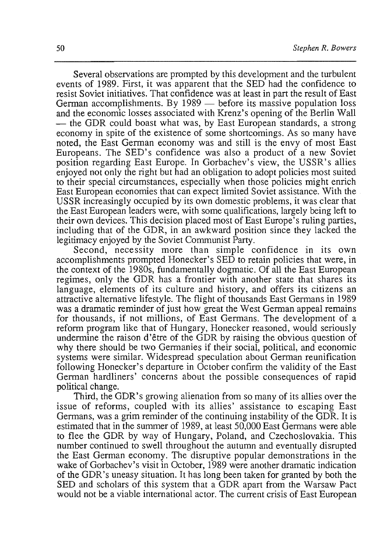Several observations are prompted by this development and the turbulent events of 1989. First, it was apparent that the SED had the confidence to resist Soviet initiatives. That confidence was at least in part the result of East German accomplishments. By  $1989$  — before its massive population loss and the economic losses associated with Krenz's opening of the Berlin Wall - the GDR could boast what was, by East European standards, a strong economy in spite of the existence of some shortcomings. As so many have noted, the East German economy was and still is the envy of most East Europeans. The SED's confidence was also a product of a new Soviet position regarding East Europe. In Gorbachev's view, the USSR's allies enjoyed not only the right but had an obligation to adopt policies most suited to their special circumstances, especially when those policies might enrich East European economies that can expect limited Soviet assistance. With the USSR increasingly occupied by its own domestic problems, it was clear that the East European leaders were, with some qualifications, largely being left to their own devices. This decision placed most of East Europe's ruling parties, including that of the GDR, in an awkward position since they lacked the legitimacy enjoyed by the Soviet Communist Party.

Second, necessity more than simple confidence in its own accomplishments prompted Honecker's SED to retain policies that were, in the context of the 1980s, fundamentally dogmatic. Of all the East European regimes, only the GDR has a frontier with another state that shares its language, elements of its culture and history, and offers its citizens an attractive alternative lifestyle. The flight of thousands East Germans in 1989 was a dramatic reminder of just how great the West German appeal remains for thousands, if not millions, of East Germans. The development of a reform program like that of Hungary, Honecker reasoned, would seriously undermine the raison d'etre of the GDR by raising the obvious question of why there should be two Germanies if their social, political, and economic systems were similar. Widespread speculation about German reunification following Honecker's departure in October confirm the validity of the East German hardliners' concerns about the possible consequences of rapid political change.

Third, the GDR's growing alienation from so many of its allies over the issue of reforms, coupled with its allies' assistance to escaping East Germans, was a grim reminder of the continuing instability of the GDR. It is estimated that in the summer of 1989, at least 50,000 East Germans were able to flee the GDR by way of Hungary, Poland, and Czechoslovakia. This number continued to swell throughout the autumn and eventually disrupted the East German economy. The disruptive popular demonstrations in the wake of Gorbachev's visit in October, 1989 were another dramatic indication of the GDR's uneasy situation. It has long been taken for granted by both the SED and scholars of this system that a GDR apart from the Warsaw Pact would not be a viable international actor. The current crisis of East European